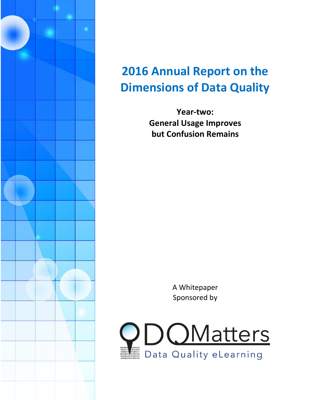

# **2016 Annual Report on the Dimensions of Data Quality**

**Year-two: General Usage Improves but Confusion Remains** 

> A Whitepaper Sponsored by

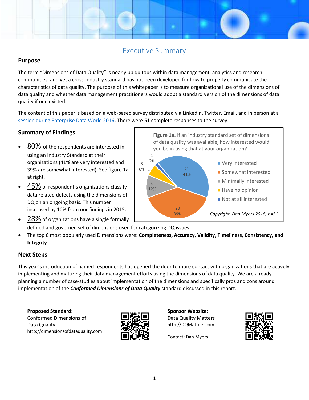# Executive Summary

#### **Purpose**

The term "Dimensions of Data Quality" is nearly ubiquitous within data management, analytics and research<br>communities, and yet a cross-industry standard has not been developed for how to properly communicate th<br>characteris communities, and yet a cross-industry standard has not been developed for how to properly communicate the characteristics of data quality. The purpose of this whitepaper is to measure organizational use of the dimensions of data quality and whether data management practitioners would adopt a standard version of the dimensions of data<br>quality if one existed.<br>The content of this paper is based on a web-based survey distributed via LinkedIn, Twi quality if one existed. Industry standard has not been developed for how to properly communicate the<br>
If a purpose of this whitepaper is to measure organizational use of the dimensions of<br>
In ananagement practitioners would adopt a standard vers

The content of this paper is based on a web-based survey distributed via LinkedIn, Twitter, Email, and [session during Enterprise Data World 2016.](http://dqm.mx/edw16cddqsess) There were 51 complete responses to the survey.

### **Summary of Findings**

- 80% of the respondents are interested in using an Industry Standard at their <u>80%</u> of the respondents are interested in<br>using an Industry Standard at their<br>organizations (41% are very interested and 39% are somewhat interested). See figure 1a at right.
- $\bullet$  45% of respondent's organizations classify data related defects using the dimensions of DQ on an ongoing basis. This number increased by 10% from our findings in 2015. 39% are somewhat interested). See figure 1a<br>at right.<br><u>45%</u> of respondent's organizations classify<br>data related defects using the dimensions of
- 21 41% 20 39% 6 12% 3 6% 1 2% of data quality was available, how interested would you be in using that at your organization? ■ Very interested **Somewhat interested** Minimally interested  $\blacksquare$  Have no opinion ■ Not at all interested *Copyright, Dan Myers 2016, n=51*

**Figure 1a.** If an industry standard set of dimensions

- 28% of organizations have a single formally defined and governed set of dimensions used for categorizing DQ issues. The top 6 most popularly used Dimensions were: **Completeness, Accuracy, Validity, Timeliness, Consistency, and**<br> **and governed set of dimensions used for categorizing DQ issues.**<br> **and and governed set of dimensions were:**
- **Integrity**

#### **Next Steps**

This year's introduction of named respondents has opened the door to more contact with organizations that are actively implementing and maturing their data management efforts using the dimensions of data quality. We are already planning a number of case-studies about implementation of the dimensions and specifically pros and cons around planning a number of case-studies about implementation of the dimensions and specifically pros<br>implementation of the *Conformed Dimensions of Data Quality* standard discussed in this report. year's introduction of named respondents has opened the door to more contact with organizations that are<br>ementing and maturing their data management efforts using the dimensions of data quality. We are already<br>ning a numbe

**Proposed Standard:** Conformed Dimensions of Data Quality http://dimensionsofdataquality.com



**Sponsor Website:** Data Quality Matters http://DQMatters.com



Contact: Dan Myers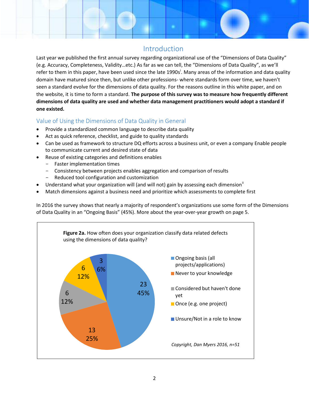## Introduction

Last year we published the first annual survey regarding organizational use of the "Dimensions of Data Quality" (e.g. Accuracy, Completeness, Validity…etc.) As far as we can tell, the "Dimensions of Data Quality", as we'll refer to them in this paper, have been used since the late 1990s<sup>i</sup>. Many areas of the information and data quality domain have matured since then, but unlike other professions- where standards form over time, we haven't seen a standard evolve for the dimensions of data quality. For the reasons outline in this white paper, and on the website, it is time to form a standard. **The purpose of this survey was to measure how frequently different dimensions of data quality are used and whether data management practitioners would adopt a standard if one existed.** 

## Value of Using the Dimensions of Data Quality in General

- Provide a standardized common language to describe data quality
- Act as quick reference, checklist, and guide to quality standards
- Can be used as framework to structure DQ efforts across a business unit, or even a company Enable people to communicate current and desired state of data
- Reuse of existing categories and definitions enables
	- Faster implementation times
	- Consistency between projects enables aggregation and comparison of results
	- Reduced tool configuration and customization
- Understand what your organization will (and will not) gain by assessing each dimension<sup>ii</sup>
- Match dimensions against a business need and prioritize which assessments to complete first

In 2016 the survey shows that nearly a majority of respondent's organizations use some form of the Dimensions of Data Quality in an "Ongoing Basis" (45%). More about the year-over-year growth on page 5.

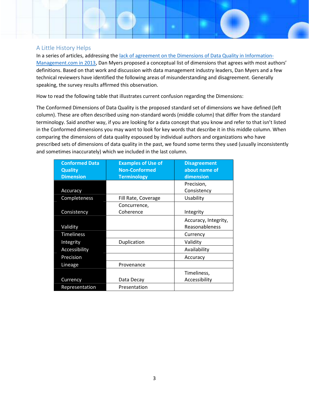#### A Little History Helps

In a series of articles, addressing the [lack of agreement on the Dimensions of Data Quality in Information-](http://www.information-management.com/news/dimensions-of-data-quality-under-the-microscope-10024529-1.html)[Management.com in 2013,](http://www.information-management.com/news/dimensions-of-data-quality-under-the-microscope-10024529-1.html) Dan Myers proposed a conceptual list of dimensions that agrees with most authors' definitions. Based on that work and discussion with data management industry leaders, Dan Myers and a few technical reviewers have identified the following areas of misunderstanding and disagreement. Generally speaking, the survey results affirmed this observation.

How to read the following table that illustrates current confusion regarding the Dimensions:

The Conformed Dimensions of Data Quality is the proposed standard set of dimensions we have defined (left column). These are often described using non-standard words (middle column) that differ from the standard terminology. Said another way, if you are looking for a data concept that you know and refer to that isn't listed in the Conformed dimensions you may want to look for key words that describe it in this middle column. When comparing the dimensions of data quality espoused by individual authors and organizations who have prescribed sets of dimensions of data quality in the past, we found some terms they used (usually inconsistently and sometimes inaccurately) which we included in the last column.

| <b>Conformed Data</b> | <b>Examples of Use of</b> | <b>Disagreement</b>  |  |
|-----------------------|---------------------------|----------------------|--|
| <b>Quality</b>        | <b>Non-Conformed</b>      | about name of        |  |
| <b>Dimension</b>      | <b>Terminology</b>        | dimension            |  |
|                       |                           | Precision,           |  |
| Accuracy              |                           | Consistency          |  |
| Completeness          | Fill Rate, Coverage       | Usability            |  |
|                       | Concurrence,              |                      |  |
| Consistency           | Coherence                 | Integrity            |  |
|                       |                           | Accuracy, Integrity, |  |
| Validity              |                           | Reasonableness       |  |
| <b>Timeliness</b>     |                           | Currency             |  |
| Integrity             | Duplication               | Validity             |  |
| Accessibility         |                           | Availability         |  |
| Precision             |                           | Accuracy             |  |
| Lineage               | Provenance                |                      |  |
|                       |                           | Timeliness,          |  |
| Currency              | Data Decay                | Accessibility        |  |
| Representation        | Presentation              |                      |  |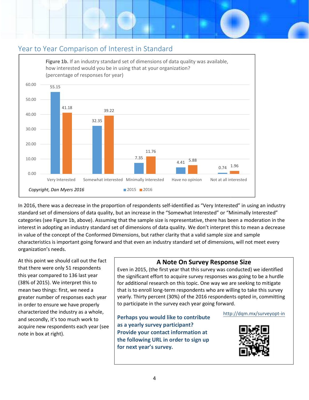

In 2016, there was a decrease in the proportion of respondents self-identified as "Very Interested" in using an industry standard set of dimensions of data quality, but an increase in the "Somewhat Interested" or "Minimally Interested" categories (see Figure 1b, above). Assuming that the sample size is representative, there has been a moderation in the standard set of dimensions of data quality, but an increase in the "Somewhat Interested" or "Minimally Interested"<br>categories (see Figure 1b, above). Assuming that the sample size is representative, there has been a modera in value of the concept of the Conformed Dimensions, but rather clarity that a valid sample size and in value of the concept of the Conformed Dimensions, but rather clarity that a valid sample size and sample<br>characteristics is important going forward and that even an industry standard set of dimensions, will not meet eve organization's needs. his to mean<br>and sample

At this point we should call out the fact that there were only 51 respondents this year compared to 136 last year (38% of 2015). We interpret this to mean two things: first, we need a greater number of responses each year in order to ensure we have properly characterized the industry as a whole, and secondly, it's too much work to acquire new respondents each year (see note in box at right).

## **A Note On Survey Response Size Response**

Even in 2015, (the first year that this survey was conducted) we identified the significant effort to acquire survey responses was going to be a hurdle for additional research on this topic. One way we are seeking to mitigate that is to enroll long-term respondents who are willing to take this survey yearly. Thirty percent (30%) of the 2016 respondents opted in, committing to participate in the survey each year going forward.<br>Perhaps you would like to contribute [http://dqm.mx/surveyopt](http://dqm.mx/surveyopt-in)-in Even in 2015, (the first year that this survey was conducted) we identified<br>the significant effort to acquire survey responses was going to be a hurdle<br>for additional research on this topic. One way we are seeking to mitig

**Perhaps you would like to contribute as a yearly survey participant? Provide your contact information at the following URL in order to sign up for next year's survey.**

#### http://dqm.mx/surveyopt-in

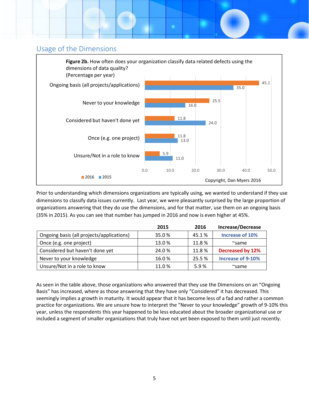

Prior to understanding which dimensions organizations are typically using, we wanted to understand if they use dimensions to classify data issues currently. Last year, we were pleasantly surprised by the large proportion of organizations answering that they do use the dimensions, and for that matter, use them on an ongoing basis (35% in 2015). As you can see that number has jumped in 2016 and now is even higher at 45%.

|                                           | 2015  | 2016   | Increase/Decrease       |
|-------------------------------------------|-------|--------|-------------------------|
| Ongoing basis (all projects/applications) | 35.0% | 45.1%  | Increase of 10%         |
| Once (e.g. one project)                   | 13.0% | 11.8%  | $\sim$ same             |
| Considered but haven't done yet           | 24.0% | 11.8%  | <b>Decreased by 12%</b> |
| Never to your knowledge                   | 16.0% | 25.5 % | Increase of 9-10%       |
| Unsure/Not in a role to know              | 11.0% | 5.9%   | $\sim$ same             |

As seen in the table above, those organizations who answered that they use the Dimensions on an "Ongoing Basis" has increased, where as those answering that they have only "Considered" it has decreased. This seemingly implies a growth in maturity. It would appear that it has become less of a fad and rather a common practice for organizations. We are unsure how to interpret the "Never to your knowledge" growth of 9-10% this year, unless the respondents this year happened to be less educated about the broader organizational use or included a segment of smaller organizations that truly have not yet been exposed to them until just recently.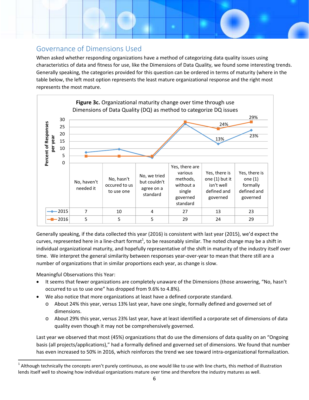# Governance of Dimensions Used

When asked whether responding organizations have a method of categorizing data quality issues using characteristics of data and fitness for use, like the Dimensions of Data Quality, we found some interesting trends. Generally speaking, the categories provided for this question can be ordered in terms of maturity (where in the table below, the left most option represents the least mature organizational response and the right most represents the most mature.



Generally speaking, if the data collected this year (2016) is consistent with last year (2015), we'd expect the curves, represented here in a line-chart format<sup>1</sup>, to be reasonably similar. The noted change may be a shift in individual organizational maturity, and hopefully representative of the shift in maturity of the industry itself over time. We interpret the general similarity between responses year‐over‐year to mean that there still are a number of organizations that in similar proportions each year, as change is slow.

Meaningful Observations this Year:

<u> 1989 - Johann Stein, fransk politik (d. 1989)</u>

- It seems that fewer organizations are completely unaware of the Dimensions (those answering, "No, hasn't occurred to us to use one" has dropped from 9.6% to 4.8%).
- We also notice that more organizations at least have a defined corporate standard.
	- o About 24% this year, versus 13% last year, have one single, formally defined and governed set of dimensions.
	- o About 29% this year, versus 23% last year, have at least identified a corporate set of dimensions of data quality even though it may not be comprehensively governed.

Last year we observed that most (45%) organizations that do use the dimensions of data quality on an "Ongoing basis (all projects/applications)," had a formally defined and governed set of dimensions. We found that number has even increased to 50% in 2016, which reinforces the trend we see toward intra-organizational formalization.

 $<sup>1</sup>$  Although technically the concepts aren't purely continuous, as one would like to use with line charts, this method of illustration</sup> lends itself well to showing how individual organizations mature over time and therefore the industry matures as well.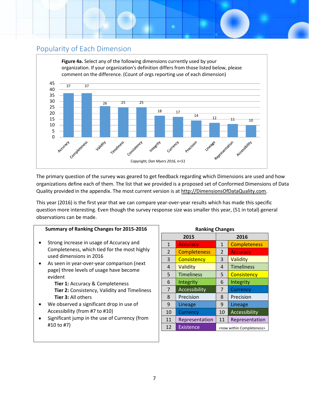# Popularity of Each Dimension



The primary question of the survey was geared to get feedback regarding which Dimensions are used and how organizations define each of them. The list that we provided is a proposed set of Conformed Dimensions of Data Quality provided in the appendix. The most current version is at http://DimensionsOfDataQuality.com.

This year (2016) is the first year that we can compare year-over-year results which has made this specific question more interesting. Even though the survey response size was smaller this year, (51 in total) general observations can be made.

## **Summary of Ranking Changes for 2015-2016**

- Strong increase in usage of Accuracy and Completeness, which tied for the most highly used dimensions in 2016
- As seen in year-over-year comparison (next page) three levels of usage have become evident

**Tier 1:** Accuracy & Completeness **Tier 2:** Consistency, Validity and Timeliness **Tier 3:** All others

- We observed a significant drop in use of Accessibility (from #7 to #10)
- Significant jump in the use of Currency (from #10 to #7)

| <b>Ranking Changes</b> |                     |                                       |                     |  |  |
|------------------------|---------------------|---------------------------------------|---------------------|--|--|
| 2015                   |                     | 2016                                  |                     |  |  |
| $\mathbf{1}$           | <b>Accuracy</b>     | 1                                     | <b>Completeness</b> |  |  |
| $\overline{2}$         | <b>Completeness</b> | 2                                     | <b>Accuracy</b>     |  |  |
| 3                      | Consistency         | 3                                     | Validity            |  |  |
| 4                      | Validity            | 4                                     | <b>Timeliness</b>   |  |  |
| 5                      | <b>Timeliness</b>   | 5                                     | Consistency         |  |  |
| 6                      | Integrity           | 6                                     | Integrity           |  |  |
| 7                      | Accessibility       | 7                                     | Currency            |  |  |
| 8                      | Precision           | 8                                     | Precision           |  |  |
| 9                      | Lineage             | 9                                     | Lineage             |  |  |
| 10                     | Currency            | 10                                    | Accessibility       |  |  |
| 11                     | Representation      | 11                                    | Representation      |  |  |
| 12                     | <b>Existence</b>    | <now completeness="" within=""></now> |                     |  |  |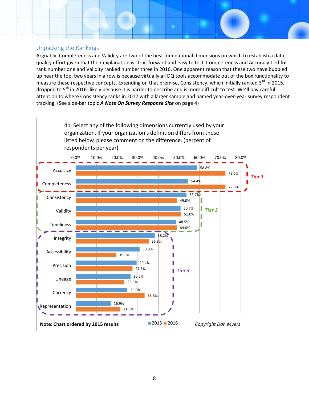#### Unpacking the Rankings:

Arguably, Completeness and Validity are two of the best foundational dimensions on which to establish a data quality effort given that their explanation is strait forward and easy to test. Completeness and Accuracy tied for rank number one and Validity ranked number three in 2016. One apparent reason that these two have bubbled up near the top, two years in a row is because virtually all DQ tools accommodate out of the box functionality to measure these respective concepts. Extending on that premise, Consistency, which initially ranked  $3^{rd}$  in 2015, dropped to 5<sup>th</sup> in 2016- likely because it is harder to describe and is more difficult to test. We'll pay careful attention to where Consistency ranks in 2017 with a larger sample and named year-over-year survey respondent tracking. (See side-bar topic *A Note On Survey Response Size* on page 4)

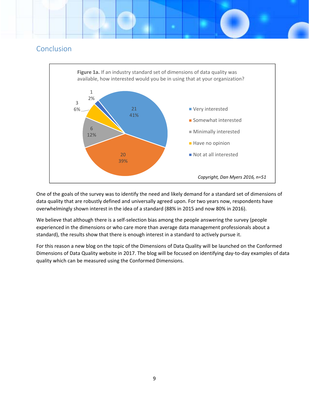# Conclusion



One of the goals of the survey was to identify the need and likely demand for a standard set of dimensions of data quality that are robustly defined and universally agreed upon. For two years now, respondents have overwhelmingly shown interest in the idea of a standard (88% in 2015 and now 80% in 2016).

We believe that although there is a self-selection bias among the people answering the survey (people experienced in the dimensions or who care more than average data management professionals about a standard), the results show that there is enough interest in a standard to actively pursue it.

For this reason a new blog on the topic of the Dimensions of Data Quality will be launched on the Conformed Dimensions of Data Quality website in 2017. The blog will be focused on identifying day‐to‐day examples of data quality which can be measured using the Conformed Dimensions.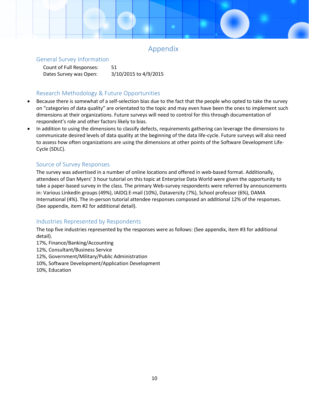# Appendix

#### General Survey Information

Count of Full Responses: 51 Dates Survey was Open: 3/10/2015 to 4/9/2015

# Research Methodology & Future Opportunities

- Because there is somewhat of a self-selection bias due to the fact that the people who opted to take the survey on "categories of data quality" are orientated to the topic and may even have been the ones to implement such dimensions at their organizations. Future surveys will need to control for this through documentation of respondent's role and other factors likely to bias.
- In addition to using the dimensions to classify defects, requirements gathering can leverage the dimensions to communicate desired levels of data quality at the beginning of the data life-cycle. Future surveys will also need to assess how often organizations are using the dimensions at other points of the Software Development Life-Cycle (SDLC).

## Source of Survey Responses

The survey was advertised in a number of online locations and offered in web-based format. Additionally, attendees of Dan Myers' 3 hour tutorial on this topic at Enterprise Data World were given the opportunity to take a paper-based survey in the class. The primary Web-survey respondents were referred by announcements in: Various LinkedIn groups (49%), IAIDQ E-mail (10%), Dataversity (7%), School professor (6%), DAMA International (4%). The in-person tutorial attendee responses composed an additional 12% of the responses. (See appendix, item #2 for additional detail).

## Industries Represented by Respondents

The top five industries represented by the responses were as follows: (See appendix, item #3 for additional detail).

- 17%, Finance/Banking/Accounting
- 12%, Consultant/Business Service
- 12%, Government/Military/Public Administration
- 10%, Software Development/Application Development
- 10%, Education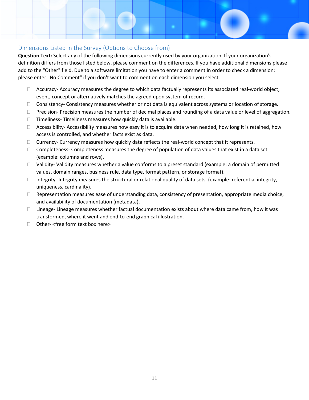#### Dimensions Listed in the Survey (Options to Choose from)

**Question Text:** Select any of the following dimensions currently used by your organization. If your organization's definition differs from those listed below, please comment on the differences. If you have additional dimensions please add to the "Other" field. Due to a software limitation you have to enter a comment in order to check a dimension: please enter "No Comment" if you don't want to comment on each dimension you select.

- $\Box$  Accuracy- Accuracy measures the degree to which data factually represents its associated real-world object, event, concept or alternatively matches the agreed upon system of record.
- $\Box$  Consistency- Consistency measures whether or not data is equivalent across systems or location of storage.
- $\Box$  Precision- Precision measures the number of decimal places and rounding of a data value or level of aggregation.
- $\Box$  Timeliness-Timeliness measures how quickly data is available.
- $\Box$  Accessibility-Accessibility measures how easy it is to acquire data when needed, how long it is retained, how access is controlled, and whether facts exist as data.
- $\Box$  Currency- Currency measures how quickly data reflects the real-world concept that it represents.
- $\Box$  Completeness- Completeness measures the degree of population of data values that exist in a data set. (example: columns and rows).
- $\Box$  Validity- Validity measures whether a value conforms to a preset standard (example: a domain of permitted values, domain ranges, business rule, data type, format pattern, or storage format).
- $\Box$  Integrity- Integrity measures the structural or relational quality of data sets. (example: referential integrity, uniqueness, cardinality).
- $\Box$  Representation measures ease of understanding data, consistency of presentation, appropriate media choice, and availability of documentation (metadata).
- $\Box$  Lineage- Lineage measures whether factual documentation exists about where data came from, how it was transformed, where it went and end-to-end graphical illustration.
- $\Box$  Other- <free form text box here>